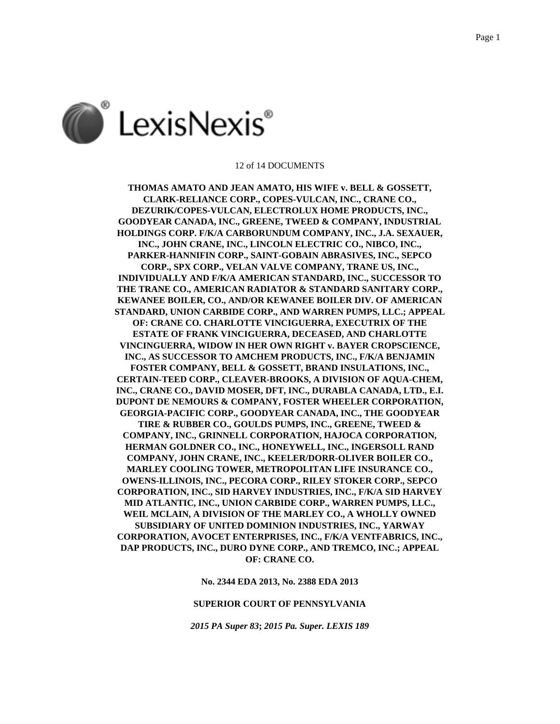

#### 12 of 14 DOCUMENTS

**THOMAS AMATO AND JEAN AMATO, HIS WIFE v. BELL & GOSSETT, CLARK-RELIANCE CORP., COPES-VULCAN, INC., CRANE CO., DEZURIK/COPES-VULCAN, ELECTROLUX HOME PRODUCTS, INC., GOODYEAR CANADA, INC., GREENE, TWEED & COMPANY, INDUSTRIAL HOLDINGS CORP. F/K/A CARBORUNDUM COMPANY, INC., J.A. SEXAUER, INC., JOHN CRANE, INC., LINCOLN ELECTRIC CO., NIBCO, INC., PARKER-HANNIFIN CORP., SAINT-GOBAIN ABRASIVES, INC., SEPCO CORP., SPX CORP., VELAN VALVE COMPANY, TRANE US, INC., INDIVIDUALLY AND F/K/A AMERICAN STANDARD, INC., SUCCESSOR TO THE TRANE CO., AMERICAN RADIATOR & STANDARD SANITARY CORP., KEWANEE BOILER, CO., AND/OR KEWANEE BOILER DIV. OF AMERICAN STANDARD, UNION CARBIDE CORP., AND WARREN PUMPS, LLC.; APPEAL OF: CRANE CO. CHARLOTTE VINCIGUERRA, EXECUTRIX OF THE ESTATE OF FRANK VINCIGUERRA, DECEASED, AND CHARLOTTE VINCINGUERRA, WIDOW IN HER OWN RIGHT v. BAYER CROPSCIENCE, INC., AS SUCCESSOR TO AMCHEM PRODUCTS, INC., F/K/A BENJAMIN FOSTER COMPANY, BELL & GOSSETT, BRAND INSULATIONS, INC., CERTAIN-TEED CORP., CLEAVER-BROOKS, A DIVISION OF AQUA-CHEM, INC., CRANE CO., DAVID MOSER, DFT, INC., DURABLA CANADA, LTD., E.I. DUPONT DE NEMOURS & COMPANY, FOSTER WHEELER CORPORATION, GEORGIA-PACIFIC CORP., GOODYEAR CANADA, INC., THE GOODYEAR TIRE & RUBBER CO., GOULDS PUMPS, INC., GREENE, TWEED & COMPANY, INC., GRINNELL CORPORATION, HAJOCA CORPORATION, HERMAN GOLDNER CO., INC., HONEYWELL, INC., INGERSOLL RAND COMPANY, JOHN CRANE, INC., KEELER/DORR-OLIVER BOILER CO., MARLEY COOLING TOWER, METROPOLITAN LIFE INSURANCE CO., OWENS-ILLINOIS, INC., PECORA CORP., RILEY STOKER CORP., SEPCO CORPORATION, INC., SID HARVEY INDUSTRIES, INC., F/K/A SID HARVEY MID ATLANTIC, INC., UNION CARBIDE CORP., WARREN PUMPS, LLC., WEIL MCLAIN, A DIVISION OF THE MARLEY CO., A WHOLLY OWNED SUBSIDIARY OF UNITED DOMINION INDUSTRIES, INC., YARWAY CORPORATION, AVOCET ENTERPRISES, INC., F/K/A VENTFABRICS, INC., DAP PRODUCTS, INC., DURO DYNE CORP., AND TREMCO, INC.; APPEAL OF: CRANE CO.**

**No. 2344 EDA 2013, No. 2388 EDA 2013**

# **SUPERIOR COURT OF PENNSYLVANIA**

*2015 PA Super 83***;** *2015 Pa. Super. LEXIS 189*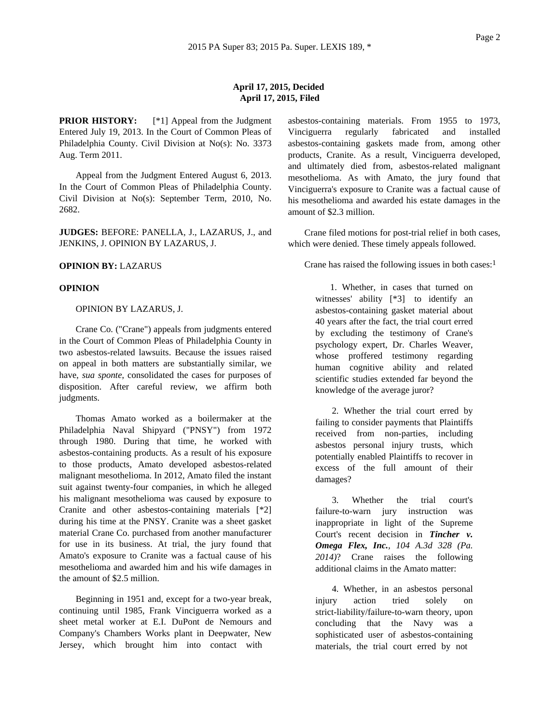# **April 17, 2015, Decided April 17, 2015, Filed**

**PRIOR HISTORY:** [\*1] Appeal from the Judgment Entered July 19, 2013. In the Court of Common Pleas of Philadelphia County. Civil Division at No(s): No. 3373 Aug. Term 2011.

Appeal from the Judgment Entered August 6, 2013. In the Court of Common Pleas of Philadelphia County. Civil Division at No(s): September Term, 2010, No. 2682.

**JUDGES:** BEFORE: PANELLA, J., LAZARUS, J., and JENKINS, J. OPINION BY LAZARUS, J.

## **OPINION BY:** LAZARUS

## **OPINION**

#### OPINION BY LAZARUS, J.

Crane Co. ("Crane") appeals from judgments entered in the Court of Common Pleas of Philadelphia County in two asbestos-related lawsuits. Because the issues raised on appeal in both matters are substantially similar, we have, *sua sponte*, consolidated the cases for purposes of disposition. After careful review, we affirm both judgments.

Thomas Amato worked as a boilermaker at the Philadelphia Naval Shipyard ("PNSY") from 1972 through 1980. During that time, he worked with asbestos-containing products. As a result of his exposure to those products, Amato developed asbestos-related malignant mesothelioma. In 2012, Amato filed the instant suit against twenty-four companies, in which he alleged his malignant mesothelioma was caused by exposure to Cranite and other asbestos-containing materials [\*2] during his time at the PNSY. Cranite was a sheet gasket material Crane Co. purchased from another manufacturer for use in its business. At trial, the jury found that Amato's exposure to Cranite was a factual cause of his mesothelioma and awarded him and his wife damages in the amount of \$2.5 million.

Beginning in 1951 and, except for a two-year break, continuing until 1985, Frank Vinciguerra worked as a sheet metal worker at E.I. DuPont de Nemours and Company's Chambers Works plant in Deepwater, New Jersey, which brought him into contact with

asbestos-containing materials. From 1955 to 1973, Vinciguerra regularly fabricated and installed asbestos-containing gaskets made from, among other products, Cranite. As a result, Vinciguerra developed, and ultimately died from, asbestos-related malignant mesothelioma. As with Amato, the jury found that Vinciguerra's exposure to Cranite was a factual cause of his mesothelioma and awarded his estate damages in the amount of \$2.3 million.

Crane filed motions for post-trial relief in both cases, which were denied. These timely appeals followed.

Crane has raised the following issues in both cases:<sup>1</sup>

1. Whether, in cases that turned on witnesses' ability [\*3] to identify an asbestos-containing gasket material about 40 years after the fact, the trial court erred by excluding the testimony of Crane's psychology expert, Dr. Charles Weaver, whose proffered testimony regarding human cognitive ability and related scientific studies extended far beyond the knowledge of the average juror?

2. Whether the trial court erred by failing to consider payments that Plaintiffs received from non-parties, including asbestos personal injury trusts, which potentially enabled Plaintiffs to recover in excess of the full amount of their damages?

3. Whether the trial court's failure-to-warn jury instruction was inappropriate in light of the Supreme Court's recent decision in *Tincher v. Omega Flex, Inc., 104 A.3d 328 (Pa. 2014)*? Crane raises the following additional claims in the Amato matter:

4. Whether, in an asbestos personal injury action tried solely on strict-liability/failure-to-warn theory, upon concluding that the Navy was a sophisticated user of asbestos-containing materials, the trial court erred by not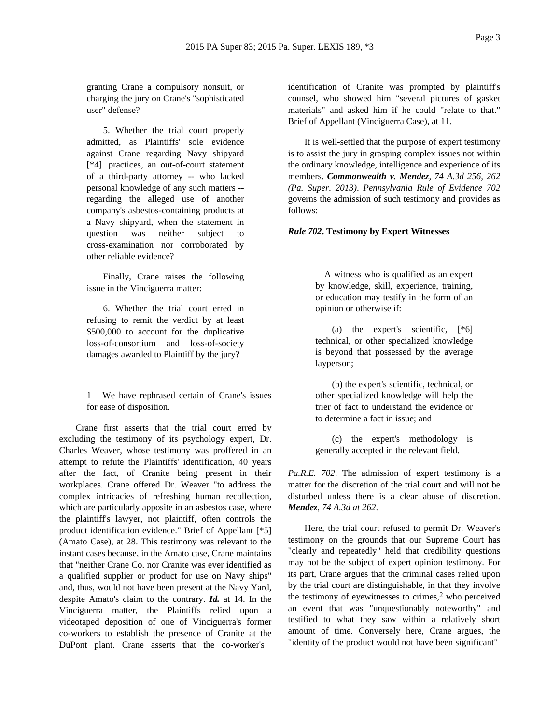granting Crane a compulsory nonsuit, or charging the jury on Crane's "sophisticated user" defense?

5. Whether the trial court properly admitted, as Plaintiffs' sole evidence against Crane regarding Navy shipyard [\*4] practices, an out-of-court statement of a third-party attorney -- who lacked personal knowledge of any such matters - regarding the alleged use of another company's asbestos-containing products at a Navy shipyard, when the statement in question was neither subject to cross-examination nor corroborated by other reliable evidence?

Finally, Crane raises the following issue in the Vinciguerra matter:

6. Whether the trial court erred in refusing to remit the verdict by at least \$500,000 to account for the duplicative loss-of-consortium and loss-of-society damages awarded to Plaintiff by the jury?

1 We have rephrased certain of Crane's issues for ease of disposition.

Crane first asserts that the trial court erred by excluding the testimony of its psychology expert, Dr. Charles Weaver, whose testimony was proffered in an attempt to refute the Plaintiffs' identification, 40 years after the fact, of Cranite being present in their workplaces. Crane offered Dr. Weaver "to address the complex intricacies of refreshing human recollection, which are particularly apposite in an asbestos case, where the plaintiff's lawyer, not plaintiff, often controls the product identification evidence." Brief of Appellant [\*5] (Amato Case), at 28. This testimony was relevant to the instant cases because, in the Amato case, Crane maintains that "neither Crane Co. nor Cranite was ever identified as a qualified supplier or product for use on Navy ships" and, thus, would not have been present at the Navy Yard, despite Amato's claim to the contrary. *Id.* at 14. In the Vinciguerra matter, the Plaintiffs relied upon a videotaped deposition of one of Vinciguerra's former co-workers to establish the presence of Cranite at the DuPont plant. Crane asserts that the co-worker's

identification of Cranite was prompted by plaintiff's counsel, who showed him "several pictures of gasket materials" and asked him if he could "relate to that." Brief of Appellant (Vinciguerra Case), at 11.

It is well-settled that the purpose of expert testimony is to assist the jury in grasping complex issues not within the ordinary knowledge, intelligence and experience of its members. *Commonwealth v. Mendez, 74 A.3d 256, 262 (Pa. Super. 2013)*. *Pennsylvania Rule of Evidence 702* governs the admission of such testimony and provides as follows:

### *Rule 702***. Testimony by Expert Witnesses**

A witness who is qualified as an expert by knowledge, skill, experience, training, or education may testify in the form of an opinion or otherwise if:

(a) the expert's scientific, [\*6] technical, or other specialized knowledge is beyond that possessed by the average layperson;

(b) the expert's scientific, technical, or other specialized knowledge will help the trier of fact to understand the evidence or to determine a fact in issue; and

(c) the expert's methodology is generally accepted in the relevant field.

*Pa.R.E. 702*. The admission of expert testimony is a matter for the discretion of the trial court and will not be disturbed unless there is a clear abuse of discretion. *Mendez, 74 A.3d at 262*.

Here, the trial court refused to permit Dr. Weaver's testimony on the grounds that our Supreme Court has "clearly and repeatedly" held that credibility questions may not be the subject of expert opinion testimony. For its part, Crane argues that the criminal cases relied upon by the trial court are distinguishable, in that they involve the testimony of eyewitnesses to crimes, $<sup>2</sup>$  who perceived</sup> an event that was "unquestionably noteworthy" and testified to what they saw within a relatively short amount of time. Conversely here, Crane argues, the "identity of the product would not have been significant"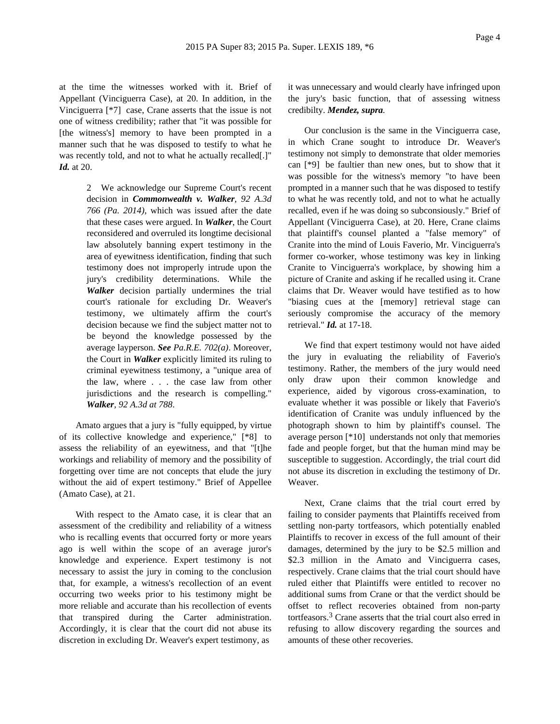at the time the witnesses worked with it. Brief of Appellant (Vinciguerra Case), at 20. In addition, in the Vinciguerra [\*7] case, Crane asserts that the issue is not one of witness credibility; rather that "it was possible for [the witness's] memory to have been prompted in a manner such that he was disposed to testify to what he was recently told, and not to what he actually recalled[.]" *Id.* at 20.

> 2 We acknowledge our Supreme Court's recent decision in *Commonwealth v. Walker, 92 A.3d 766 (Pa. 2014)*, which was issued after the date that these cases were argued. In *Walker*, the Court reconsidered and overruled its longtime decisional law absolutely banning expert testimony in the area of eyewitness identification, finding that such testimony does not improperly intrude upon the jury's credibility determinations. While the *Walker* decision partially undermines the trial court's rationale for excluding Dr. Weaver's testimony, we ultimately affirm the court's decision because we find the subject matter not to be beyond the knowledge possessed by the average layperson. *See Pa.R.E. 702(a)*. Moreover, the Court in *Walker* explicitly limited its ruling to criminal eyewitness testimony, a "unique area of the law, where . . . the case law from other jurisdictions and the research is compelling." *Walker, 92 A.3d at 788*.

Amato argues that a jury is "fully equipped, by virtue of its collective knowledge and experience," [\*8] to assess the reliability of an eyewitness, and that "[t]he workings and reliability of memory and the possibility of forgetting over time are not concepts that elude the jury without the aid of expert testimony." Brief of Appellee (Amato Case), at 21.

With respect to the Amato case, it is clear that an assessment of the credibility and reliability of a witness who is recalling events that occurred forty or more years ago is well within the scope of an average juror's knowledge and experience. Expert testimony is not necessary to assist the jury in coming to the conclusion that, for example, a witness's recollection of an event occurring two weeks prior to his testimony might be more reliable and accurate than his recollection of events that transpired during the Carter administration. Accordingly, it is clear that the court did not abuse its discretion in excluding Dr. Weaver's expert testimony, as

it was unnecessary and would clearly have infringed upon the jury's basic function, that of assessing witness credibilty. *Mendez, supra.*

Our conclusion is the same in the Vinciguerra case, in which Crane sought to introduce Dr. Weaver's testimony not simply to demonstrate that older memories can [\*9] be faultier than new ones, but to show that it was possible for the witness's memory "to have been prompted in a manner such that he was disposed to testify to what he was recently told, and not to what he actually recalled, even if he was doing so subconsiously." Brief of Appellant (Vinciguerra Case), at 20. Here, Crane claims that plaintiff's counsel planted a "false memory" of Cranite into the mind of Louis Faverio, Mr. Vinciguerra's former co-worker, whose testimony was key in linking Cranite to Vinciguerra's workplace, by showing him a picture of Cranite and asking if he recalled using it. Crane claims that Dr. Weaver would have testified as to how "biasing cues at the [memory] retrieval stage can seriously compromise the accuracy of the memory retrieval." *Id.* at 17-18.

We find that expert testimony would not have aided the jury in evaluating the reliability of Faverio's testimony. Rather, the members of the jury would need only draw upon their common knowledge and experience, aided by vigorous cross-examination, to evaluate whether it was possible or likely that Faverio's identification of Cranite was unduly influenced by the photograph shown to him by plaintiff's counsel. The average person [\*10] understands not only that memories fade and people forget, but that the human mind may be susceptible to suggestion. Accordingly, the trial court did not abuse its discretion in excluding the testimony of Dr. Weaver.

Next, Crane claims that the trial court erred by failing to consider payments that Plaintiffs received from settling non-party tortfeasors, which potentially enabled Plaintiffs to recover in excess of the full amount of their damages, determined by the jury to be \$2.5 million and \$2.3 million in the Amato and Vinciguerra cases, respectively. Crane claims that the trial court should have ruled either that Plaintiffs were entitled to recover no additional sums from Crane or that the verdict should be offset to reflect recoveries obtained from non-party tortfeasors.3 Crane asserts that the trial court also erred in refusing to allow discovery regarding the sources and amounts of these other recoveries.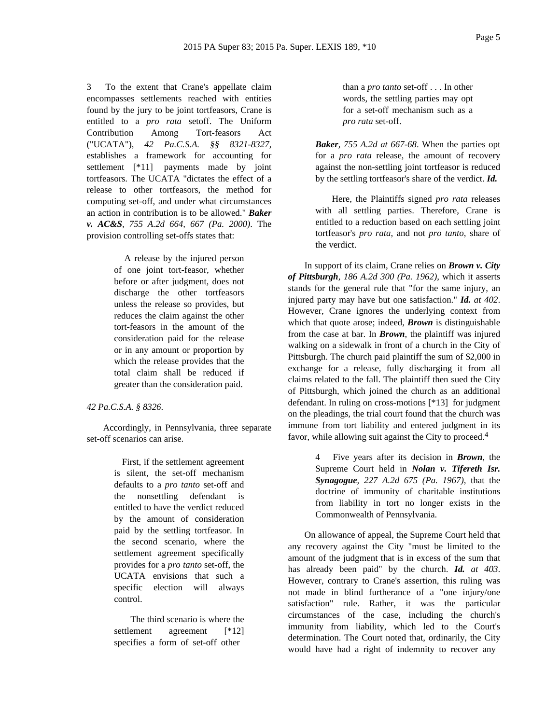3 To the extent that Crane's appellate claim encompasses settlements reached with entities found by the jury to be joint tortfeasors, Crane is entitled to a *pro rata* setoff. The Uniform Contribution Among Tort-feasors Act ("UCATA"), *42 Pa.C.S.A. §§ 8321-8327*, establishes a framework for accounting for settlement [\*11] payments made by joint tortfeasors. The UCATA "dictates the effect of a release to other tortfeasors, the method for computing set-off, and under what circumstances an action in contribution is to be allowed." *Baker v. AC&S, 755 A.2d 664, 667 (Pa. 2000)*. The provision controlling set-offs states that:

> A release by the injured person of one joint tort-feasor, whether before or after judgment, does not discharge the other tortfeasors unless the release so provides, but reduces the claim against the other tort-feasors in the amount of the consideration paid for the release or in any amount or proportion by which the release provides that the total claim shall be reduced if greater than the consideration paid.

*42 Pa.C.S.A. § 8326*.

Accordingly, in Pennsylvania, three separate set-off scenarios can arise.

> First, if the settlement agreement is silent, the set-off mechanism defaults to a *pro tanto* set-off and the nonsettling defendant is entitled to have the verdict reduced by the amount of consideration paid by the settling tortfeasor. In the second scenario, where the settlement agreement specifically provides for a *pro tanto* set-off, the UCATA envisions that such a specific election will always control.

The third scenario is where the settlement agreement [\*12] specifies a form of set-off other

than a *pro tanto* set-off . . . In other words, the settling parties may opt for a set-off mechanism such as a *pro rata* set-off.

*Baker, 755 A.2d at 667-68*. When the parties opt for a *pro rata* release, the amount of recovery against the non-settling joint tortfeasor is reduced by the settling tortfeasor's share of the verdict. *Id.*

Here, the Plaintiffs signed *pro rata* releases with all settling parties. Therefore, Crane is entitled to a reduction based on each settling joint tortfeasor's *pro rata*, and not *pro tanto*, share of the verdict.

In support of its claim, Crane relies on *Brown v. City of Pittsburgh, 186 A.2d 300 (Pa. 1962)*, which it asserts stands for the general rule that "for the same injury, an injured party may have but one satisfaction." *Id. at 402*. However, Crane ignores the underlying context from which that quote arose; indeed, *Brown* is distinguishable from the case at bar. In *Brown*, the plaintiff was injured walking on a sidewalk in front of a church in the City of Pittsburgh. The church paid plaintiff the sum of \$2,000 in exchange for a release, fully discharging it from all claims related to the fall. The plaintiff then sued the City of Pittsburgh, which joined the church as an additional defendant. In ruling on cross-motions [\*13] for judgment on the pleadings, the trial court found that the church was immune from tort liability and entered judgment in its favor, while allowing suit against the City to proceed.<sup>4</sup>

> 4 Five years after its decision in *Brown*, the Supreme Court held in *Nolan v. Tifereth Isr. Synagogue, 227 A.2d 675 (Pa. 1967)*, that the doctrine of immunity of charitable institutions from liability in tort no longer exists in the Commonwealth of Pennsylvania.

On allowance of appeal, the Supreme Court held that any recovery against the City "must be limited to the amount of the judgment that is in excess of the sum that has already been paid" by the church. *Id. at 403*. However, contrary to Crane's assertion, this ruling was not made in blind furtherance of a "one injury/one satisfaction" rule. Rather, it was the particular circumstances of the case, including the church's immunity from liability, which led to the Court's determination. The Court noted that, ordinarily, the City would have had a right of indemnity to recover any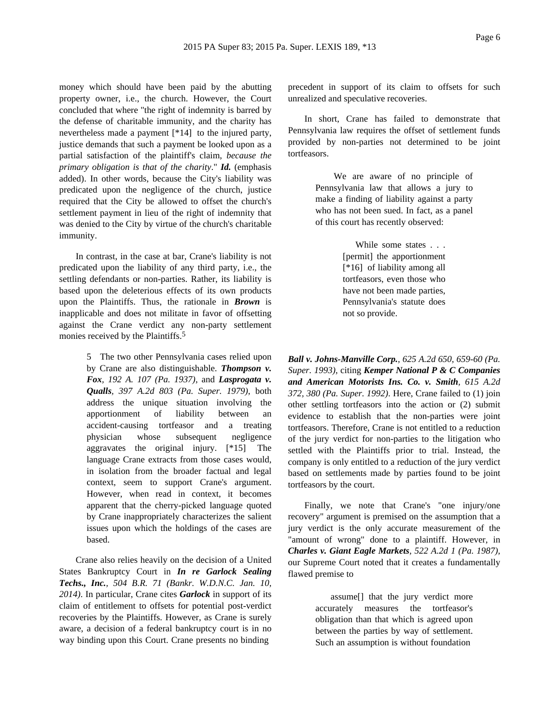money which should have been paid by the abutting property owner, i.e., the church. However, the Court concluded that where "the right of indemnity is barred by the defense of charitable immunity, and the charity has nevertheless made a payment [\*14] to the injured party, justice demands that such a payment be looked upon as a partial satisfaction of the plaintiff's claim, *because the primary obligation is that of the charity*." *Id.* (emphasis added). In other words, because the City's liability was predicated upon the negligence of the church, justice required that the City be allowed to offset the church's settlement payment in lieu of the right of indemnity that was denied to the City by virtue of the church's charitable immunity.

In contrast, in the case at bar, Crane's liability is not predicated upon the liability of any third party, i.e., the settling defendants or non-parties. Rather, its liability is based upon the deleterious effects of its own products upon the Plaintiffs. Thus, the rationale in *Brown* is inapplicable and does not militate in favor of offsetting against the Crane verdict any non-party settlement monies received by the Plaintiffs.<sup>5</sup>

> 5 The two other Pennsylvania cases relied upon by Crane are also distinguishable. *Thompson v. Fox, 192 A. 107 (Pa. 1937)*, and *Lasprogata v. Qualls, 397 A.2d 803 (Pa. Super. 1979)*, both address the unique situation involving the apportionment of liability between an accident-causing tortfeasor and a treating physician whose subsequent negligence aggravates the original injury. [\*15] The language Crane extracts from those cases would, in isolation from the broader factual and legal context, seem to support Crane's argument. However, when read in context, it becomes apparent that the cherry-picked language quoted by Crane inappropriately characterizes the salient issues upon which the holdings of the cases are based.

Crane also relies heavily on the decision of a United States Bankruptcy Court in *In re Garlock Sealing Techs., Inc., 504 B.R. 71 (Bankr. W.D.N.C. Jan. 10, 2014)*. In particular, Crane cites *Garlock* in support of its claim of entitlement to offsets for potential post-verdict recoveries by the Plaintiffs. However, as Crane is surely aware, a decision of a federal bankruptcy court is in no way binding upon this Court. Crane presents no binding

precedent in support of its claim to offsets for such unrealized and speculative recoveries.

In short, Crane has failed to demonstrate that Pennsylvania law requires the offset of settlement funds provided by non-parties not determined to be joint tortfeasors.

> We are aware of no principle of Pennsylvania law that allows a jury to make a finding of liability against a party who has not been sued. In fact, as a panel of this court has recently observed:

> > While some states . . . [permit] the apportionment [\*16] of liability among all tortfeasors, even those who have not been made parties, Pennsylvania's statute does not so provide.

*Ball v. Johns-Manville Corp., 625 A.2d 650, 659-60 (Pa. Super. 1993)*, citing *Kemper National P & C Companies and American Motorists Ins. Co. v. Smith, 615 A.2d 372, 380 (Pa. Super. 1992)*. Here, Crane failed to (1) join other settling tortfeasors into the action or (2) submit evidence to establish that the non-parties were joint tortfeasors. Therefore, Crane is not entitled to a reduction of the jury verdict for non-parties to the litigation who settled with the Plaintiffs prior to trial. Instead, the company is only entitled to a reduction of the jury verdict based on settlements made by parties found to be joint tortfeasors by the court.

Finally, we note that Crane's "one injury/one recovery" argument is premised on the assumption that a jury verdict is the only accurate measurement of the "amount of wrong" done to a plaintiff. However, in *Charles v. Giant Eagle Markets, 522 A.2d 1 (Pa. 1987)*, our Supreme Court noted that it creates a fundamentally flawed premise to

> assume[] that the jury verdict more accurately measures the tortfeasor's obligation than that which is agreed upon between the parties by way of settlement. Such an assumption is without foundation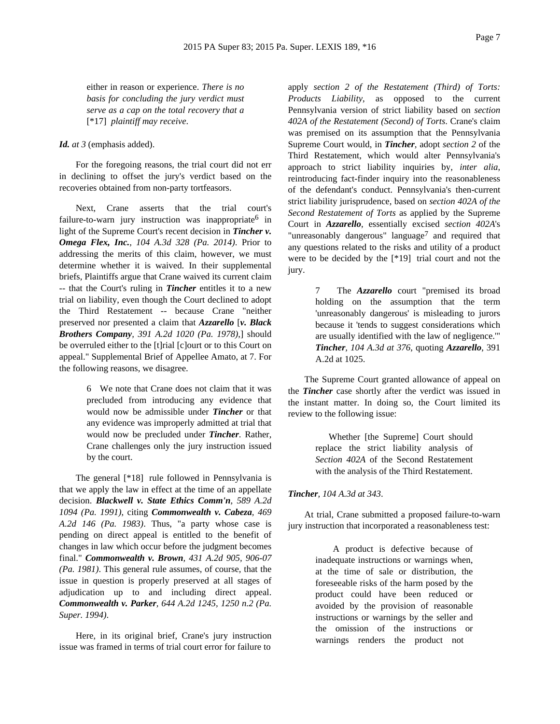either in reason or experience. *There is no basis for concluding the jury verdict must serve as a cap on the total recovery that a* [\*17] *plaintiff may receive*.

### *Id. at 3* (emphasis added).

For the foregoing reasons, the trial court did not err in declining to offset the jury's verdict based on the recoveries obtained from non-party tortfeasors.

Next, Crane asserts that the trial court's failure-to-warn jury instruction was inappropriate  $6$  in light of the Supreme Court's recent decision in *Tincher v. Omega Flex, Inc., 104 A.3d 328 (Pa. 2014)*. Prior to addressing the merits of this claim, however, we must determine whether it is waived. In their supplemental briefs, Plaintiffs argue that Crane waived its current claim -- that the Court's ruling in *Tincher* entitles it to a new trial on liability, even though the Court declined to adopt the Third Restatement -- because Crane "neither preserved nor presented a claim that *Azzarello* [*v. Black Brothers Company, 391 A.2d 1020 (Pa. 1978)*,] should be overruled either to the [t]rial [c]ourt or to this Court on appeal." Supplemental Brief of Appellee Amato, at 7. For the following reasons, we disagree.

> 6 We note that Crane does not claim that it was precluded from introducing any evidence that would now be admissible under *Tincher* or that any evidence was improperly admitted at trial that would now be precluded under *Tincher*. Rather, Crane challenges only the jury instruction issued by the court.

The general [\*18] rule followed in Pennsylvania is that we apply the law in effect at the time of an appellate decision. *Blackwell v. State Ethics Comm'n, 589 A.2d 1094 (Pa. 1991)*, citing *Commonwealth v. Cabeza, 469 A.2d 146 (Pa. 1983)*. Thus, "a party whose case is pending on direct appeal is entitled to the benefit of changes in law which occur before the judgment becomes final." *Commonwealth v. Brown, 431 A.2d 905, 906-07 (Pa. 1981)*. This general rule assumes, of course, that the issue in question is properly preserved at all stages of adjudication up to and including direct appeal. *Commonwealth v. Parker, 644 A.2d 1245, 1250 n.2 (Pa. Super. 1994)*.

Here, in its original brief, Crane's jury instruction issue was framed in terms of trial court error for failure to

apply *section 2 of the Restatement (Third) of Torts: Products Liability*, as opposed to the current Pennsylvania version of strict liability based on *section 402A of the Restatement (Second) of Torts*. Crane's claim was premised on its assumption that the Pennsylvania Supreme Court would, in *Tincher*, adopt *section 2* of the Third Restatement, which would alter Pennsylvania's approach to strict liability inquiries by, *inter alia*, reintroducing fact-finder inquiry into the reasonableness of the defendant's conduct. Pennsylvania's then-current strict liability jurisprudence, based on *section 402A of the Second Restatement of Torts* as applied by the Supreme Court in *Azzarello*, essentially excised *section 402A*'s "unreasonably dangerous" language<sup>7</sup> and required that any questions related to the risks and utility of a product were to be decided by the [\*19] trial court and not the jury.

> 7 The *Azzarello* court "premised its broad holding on the assumption that the term 'unreasonably dangerous' is misleading to jurors because it 'tends to suggest considerations which are usually identified with the law of negligence.'" *Tincher, 104 A.3d at 376*, quoting *Azzarello*, 391 A.2d at 1025.

The Supreme Court granted allowance of appeal on the *Tincher* case shortly after the verdict was issued in the instant matter. In doing so, the Court limited its review to the following issue:

> Whether [the Supreme] Court should replace the strict liability analysis of *Section 402A* of the Second Restatement with the analysis of the Third Restatement.

### *Tincher, 104 A.3d at 343*.

At trial, Crane submitted a proposed failure-to-warn jury instruction that incorporated a reasonableness test:

> A product is defective because of inadequate instructions or warnings when, at the time of sale or distribution, the foreseeable risks of the harm posed by the product could have been reduced or avoided by the provision of reasonable instructions or warnings by the seller and the omission of the instructions or warnings renders the product not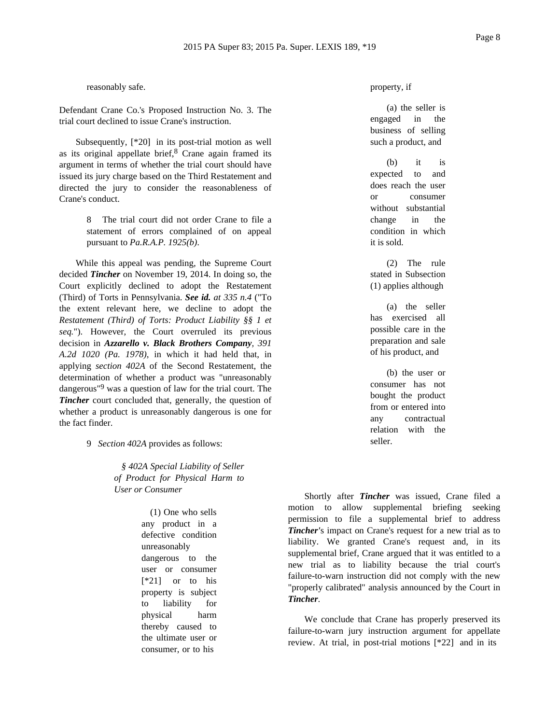reasonably safe.

Defendant Crane Co.'s Proposed Instruction No. 3. The trial court declined to issue Crane's instruction.

Subsequently, [\*20] in its post-trial motion as well as its original appellate brief, $8$  Crane again framed its argument in terms of whether the trial court should have issued its jury charge based on the Third Restatement and directed the jury to consider the reasonableness of Crane's conduct.

> The trial court did not order Crane to file a statement of errors complained of on appeal pursuant to *Pa.R.A.P. 1925(b)*.

While this appeal was pending, the Supreme Court decided *Tincher* on November 19, 2014. In doing so, the Court explicitly declined to adopt the Restatement (Third) of Torts in Pennsylvania. *See id. at 335 n.4* ("To the extent relevant here, we decline to adopt the *Restatement (Third) of Torts: Product Liability §§ 1 et seq.*"). However, the Court overruled its previous decision in *Azzarello v. Black Brothers Company, 391 A.2d 1020 (Pa. 1978)*, in which it had held that, in applying *section 402A* of the Second Restatement, the determination of whether a product was "unreasonably dangerous<sup>"9</sup> was a question of law for the trial court. The *Tincher* court concluded that, generally, the question of whether a product is unreasonably dangerous is one for the fact finder.

9 *Section 402A* provides as follows:

*§ 402A Special Liability of Seller of Product for Physical Harm to User or Consumer*

> (1) One who sells any product in a defective condition unreasonably dangerous to the user or consumer [\*21] or to his property is subject to liability for physical harm thereby caused to the ultimate user or consumer, or to his

property, if

(a) the seller is engaged in the business of selling such a product, and

(b) it is expected to and does reach the user or consumer without substantial change in the condition in which it is sold.

(2) The rule stated in Subsection (1) applies although

(a) the seller has exercised all possible care in the preparation and sale of his product, and

(b) the user or consumer has not bought the product from or entered into any contractual relation with the seller.

Shortly after *Tincher* was issued, Crane filed a motion to allow supplemental briefing seeking permission to file a supplemental brief to address *Tincher'*s impact on Crane's request for a new trial as to liability. We granted Crane's request and, in its supplemental brief, Crane argued that it was entitled to a new trial as to liability because the trial court's failure-to-warn instruction did not comply with the new "properly calibrated" analysis announced by the Court in *Tincher*.

We conclude that Crane has properly preserved its failure-to-warn jury instruction argument for appellate review. At trial, in post-trial motions [\*22] and in its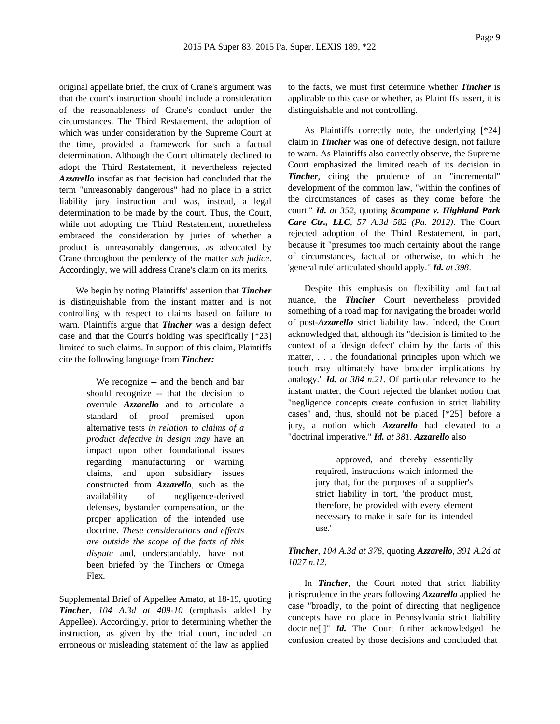original appellate brief, the crux of Crane's argument was that the court's instruction should include a consideration of the reasonableness of Crane's conduct under the circumstances. The Third Restatement, the adoption of which was under consideration by the Supreme Court at the time, provided a framework for such a factual determination. Although the Court ultimately declined to adopt the Third Restatement, it nevertheless rejected *Azzarello* insofar as that decision had concluded that the term "unreasonably dangerous" had no place in a strict liability jury instruction and was, instead, a legal determination to be made by the court. Thus, the Court, while not adopting the Third Restatement, nonetheless embraced the consideration by juries of whether a product is unreasonably dangerous, as advocated by Crane throughout the pendency of the matter *sub judice*. Accordingly, we will address Crane's claim on its merits.

We begin by noting Plaintiffs' assertion that *Tincher* is distinguishable from the instant matter and is not controlling with respect to claims based on failure to warn. Plaintiffs argue that *Tincher* was a design defect case and that the Court's holding was specifically [\*23] limited to such claims. In support of this claim, Plaintiffs cite the following language from *Tincher:*

> We recognize -- and the bench and bar should recognize -- that the decision to overrule *Azzarello* and to articulate a standard of proof premised upon alternative tests *in relation to claims of a product defective in design may* have an impact upon other foundational issues regarding manufacturing or warning claims, and upon subsidiary issues constructed from *Azzarello*, such as the availability of negligence-derived defenses, bystander compensation, or the proper application of the intended use doctrine. *These considerations and effects are outside the scope of the facts of this dispute* and, understandably, have not been briefed by the Tinchers or Omega Flex.

Supplemental Brief of Appellee Amato, at 18-19, quoting *Tincher, 104 A.3d at 409-10* (emphasis added by Appellee). Accordingly, prior to determining whether the instruction, as given by the trial court, included an erroneous or misleading statement of the law as applied

to the facts, we must first determine whether *Tincher* is applicable to this case or whether, as Plaintiffs assert, it is distinguishable and not controlling.

As Plaintiffs correctly note, the underlying [\*24] claim in *Tincher* was one of defective design, not failure to warn. As Plaintiffs also correctly observe, the Supreme Court emphasized the limited reach of its decision in *Tincher*, citing the prudence of an "incremental" development of the common law, "within the confines of the circumstances of cases as they come before the court." *Id. at 352*, quoting *Scampone v. Highland Park Care Ctr., LLC, 57 A.3d 582 (Pa. 2012)*. The Court rejected adoption of the Third Restatement, in part, because it "presumes too much certainty about the range of circumstances, factual or otherwise, to which the 'general rule' articulated should apply." *Id. at 398*.

Despite this emphasis on flexibility and factual nuance, the *Tincher* Court nevertheless provided something of a road map for navigating the broader world of post-*Azzarello* strict liability law. Indeed, the Court acknowledged that, although its "decision is limited to the context of a 'design defect' claim by the facts of this matter, . . . the foundational principles upon which we touch may ultimately have broader implications by analogy." *Id. at 384 n.21*. Of particular relevance to the instant matter, the Court rejected the blanket notion that "negligence concepts create confusion in strict liability cases" and, thus, should not be placed [\*25] before a jury, a notion which *Azzarello* had elevated to a "doctrinal imperative." *Id. at 381*. *Azzarello* also

> approved, and thereby essentially required, instructions which informed the jury that, for the purposes of a supplier's strict liability in tort, 'the product must, therefore, be provided with every element necessary to make it safe for its intended use.'

# *Tincher, 104 A.3d at 376*, quoting *Azzarello, 391 A.2d at 1027 n.12*.

In *Tincher*, the Court noted that strict liability jurisprudence in the years following *Azzarello* applied the case "broadly, to the point of directing that negligence concepts have no place in Pennsylvania strict liability doctrine<sup>[1]</sup>" *Id.* The Court further acknowledged the confusion created by those decisions and concluded that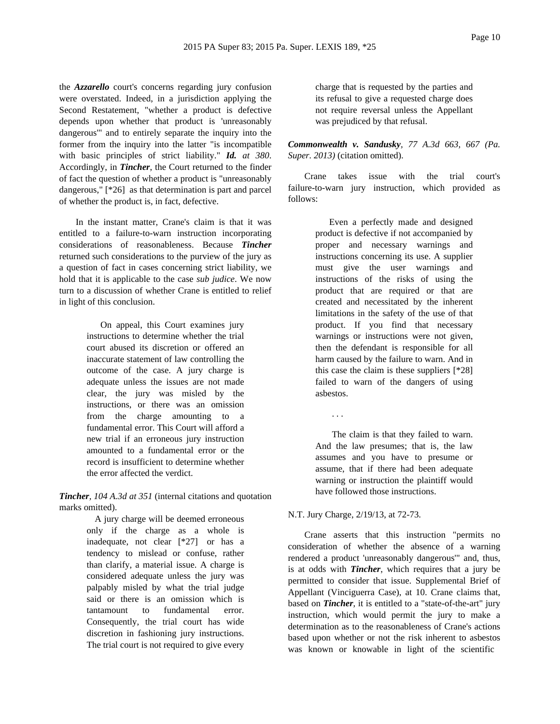the *Azzarello* court's concerns regarding jury confusion were overstated. Indeed, in a jurisdiction applying the Second Restatement, "whether a product is defective depends upon whether that product is 'unreasonably dangerous'" and to entirely separate the inquiry into the former from the inquiry into the latter "is incompatible with basic principles of strict liability." *Id. at 380*. Accordingly, in *Tincher*, the Court returned to the finder of fact the question of whether a product is "unreasonably dangerous," [\*26] as that determination is part and parcel of whether the product is, in fact, defective.

In the instant matter, Crane's claim is that it was entitled to a failure-to-warn instruction incorporating considerations of reasonableness. Because *Tincher* returned such considerations to the purview of the jury as a question of fact in cases concerning strict liability, we hold that it is applicable to the case *sub judice*. We now turn to a discussion of whether Crane is entitled to relief in light of this conclusion.

> On appeal, this Court examines jury instructions to determine whether the trial court abused its discretion or offered an inaccurate statement of law controlling the outcome of the case. A jury charge is adequate unless the issues are not made clear, the jury was misled by the instructions, or there was an omission from the charge amounting to a fundamental error. This Court will afford a new trial if an erroneous jury instruction amounted to a fundamental error or the record is insufficient to determine whether the error affected the verdict.

*Tincher, 104 A.3d at 351* (internal citations and quotation marks omitted).

> A jury charge will be deemed erroneous only if the charge as a whole is inadequate, not clear [\*27] or has a tendency to mislead or confuse, rather than clarify, a material issue. A charge is considered adequate unless the jury was palpably misled by what the trial judge said or there is an omission which is tantamount to fundamental error. Consequently, the trial court has wide discretion in fashioning jury instructions. The trial court is not required to give every

charge that is requested by the parties and its refusal to give a requested charge does not require reversal unless the Appellant was prejudiced by that refusal.

*Commonwealth v. Sandusky, 77 A.3d 663, 667 (Pa. Super. 2013)* (citation omitted).

Crane takes issue with the trial court's failure-to-warn jury instruction, which provided as follows:

> Even a perfectly made and designed product is defective if not accompanied by proper and necessary warnings and instructions concerning its use. A supplier must give the user warnings and instructions of the risks of using the product that are required or that are created and necessitated by the inherent limitations in the safety of the use of that product. If you find that necessary warnings or instructions were not given, then the defendant is responsible for all harm caused by the failure to warn. And in this case the claim is these suppliers [\*28] failed to warn of the dangers of using asbestos.

> The claim is that they failed to warn. And the law presumes; that is, the law assumes and you have to presume or assume, that if there had been adequate warning or instruction the plaintiff would have followed those instructions.

#### N.T. Jury Charge, 2/19/13, at 72-73.

. . .

Crane asserts that this instruction "permits no consideration of whether the absence of a warning rendered a product 'unreasonably dangerous'" and, thus, is at odds with *Tincher*, which requires that a jury be permitted to consider that issue. Supplemental Brief of Appellant (Vinciguerra Case), at 10. Crane claims that, based on *Tincher*, it is entitled to a "state-of-the-art" jury instruction, which would permit the jury to make a determination as to the reasonableness of Crane's actions based upon whether or not the risk inherent to asbestos was known or knowable in light of the scientific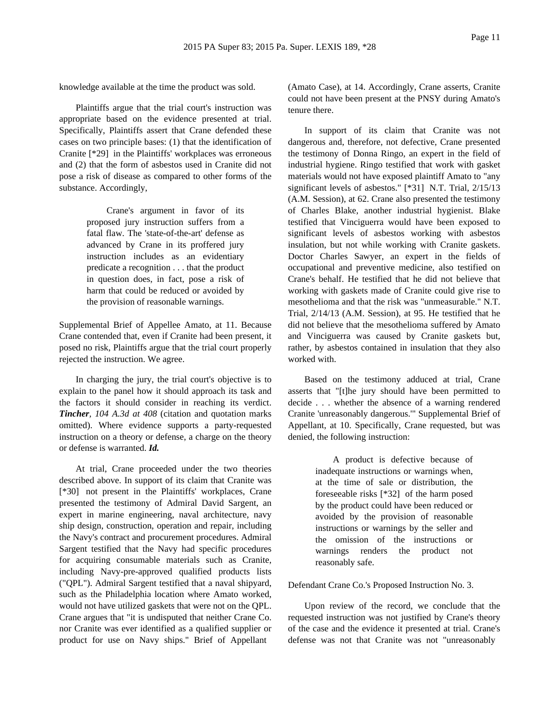knowledge available at the time the product was sold.

Plaintiffs argue that the trial court's instruction was appropriate based on the evidence presented at trial. Specifically, Plaintiffs assert that Crane defended these cases on two principle bases: (1) that the identification of Cranite [\*29] in the Plaintiffs' workplaces was erroneous and (2) that the form of asbestos used in Cranite did not pose a risk of disease as compared to other forms of the substance. Accordingly,

> Crane's argument in favor of its proposed jury instruction suffers from a fatal flaw. The 'state-of-the-art' defense as advanced by Crane in its proffered jury instruction includes as an evidentiary predicate a recognition . . . that the product in question does, in fact, pose a risk of harm that could be reduced or avoided by the provision of reasonable warnings.

Supplemental Brief of Appellee Amato, at 11. Because Crane contended that, even if Cranite had been present, it posed no risk, Plaintiffs argue that the trial court properly rejected the instruction. We agree.

In charging the jury, the trial court's objective is to explain to the panel how it should approach its task and the factors it should consider in reaching its verdict. *Tincher, 104 A.3d at 408* (citation and quotation marks omitted). Where evidence supports a party-requested instruction on a theory or defense, a charge on the theory or defense is warranted. *Id.*

At trial, Crane proceeded under the two theories described above. In support of its claim that Cranite was [\*30] not present in the Plaintiffs' workplaces, Crane presented the testimony of Admiral David Sargent, an expert in marine engineering, naval architecture, navy ship design, construction, operation and repair, including the Navy's contract and procurement procedures. Admiral Sargent testified that the Navy had specific procedures for acquiring consumable materials such as Cranite, including Navy-pre-approved qualified products lists ("QPL"). Admiral Sargent testified that a naval shipyard, such as the Philadelphia location where Amato worked, would not have utilized gaskets that were not on the QPL. Crane argues that "it is undisputed that neither Crane Co. nor Cranite was ever identified as a qualified supplier or product for use on Navy ships." Brief of Appellant

(Amato Case), at 14. Accordingly, Crane asserts, Cranite could not have been present at the PNSY during Amato's tenure there.

In support of its claim that Cranite was not dangerous and, therefore, not defective, Crane presented the testimony of Donna Ringo, an expert in the field of industrial hygiene. Ringo testified that work with gasket materials would not have exposed plaintiff Amato to "any significant levels of asbestos." [\*31] N.T. Trial, 2/15/13 (A.M. Session), at 62. Crane also presented the testimony of Charles Blake, another industrial hygienist. Blake testified that Vinciguerra would have been exposed to significant levels of asbestos working with asbestos insulation, but not while working with Cranite gaskets. Doctor Charles Sawyer, an expert in the fields of occupational and preventive medicine, also testified on Crane's behalf. He testified that he did not believe that working with gaskets made of Cranite could give rise to mesothelioma and that the risk was "unmeasurable." N.T. Trial, 2/14/13 (A.M. Session), at 95. He testified that he did not believe that the mesothelioma suffered by Amato and Vinciguerra was caused by Cranite gaskets but, rather, by asbestos contained in insulation that they also worked with.

Based on the testimony adduced at trial, Crane asserts that "[t]he jury should have been permitted to decide . . . whether the absence of a warning rendered Cranite 'unreasonably dangerous.'" Supplemental Brief of Appellant, at 10. Specifically, Crane requested, but was denied, the following instruction:

> A product is defective because of inadequate instructions or warnings when, at the time of sale or distribution, the foreseeable risks [\*32] of the harm posed by the product could have been reduced or avoided by the provision of reasonable instructions or warnings by the seller and the omission of the instructions or warnings renders the product not reasonably safe.

# Defendant Crane Co.'s Proposed Instruction No. 3.

Upon review of the record, we conclude that the requested instruction was not justified by Crane's theory of the case and the evidence it presented at trial. Crane's defense was not that Cranite was not "unreasonably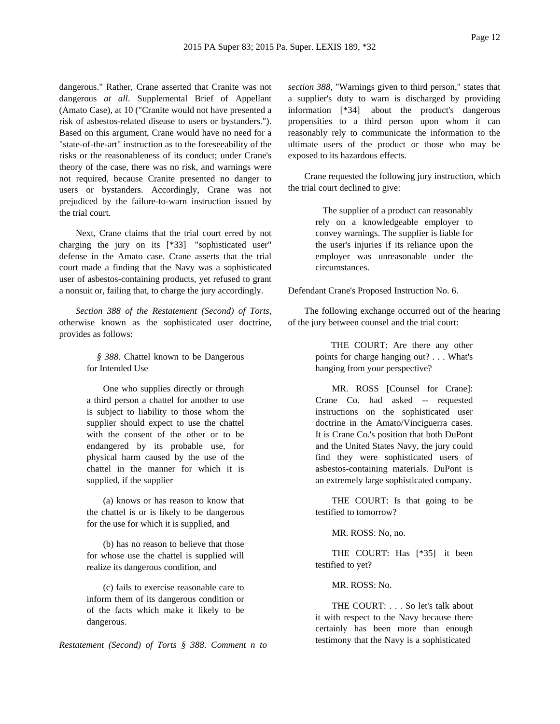dangerous." Rather, Crane asserted that Cranite was not dangerous *at all*. Supplemental Brief of Appellant (Amato Case), at 10 ("Cranite would not have presented a risk of asbestos-related disease to users or bystanders."). Based on this argument, Crane would have no need for a "state-of-the-art" instruction as to the foreseeability of the risks or the reasonableness of its conduct; under Crane's theory of the case, there was no risk, and warnings were not required, because Cranite presented no danger to users or bystanders. Accordingly, Crane was not prejudiced by the failure-to-warn instruction issued by the trial court.

Next, Crane claims that the trial court erred by not charging the jury on its [\*33] "sophisticated user" defense in the Amato case. Crane asserts that the trial court made a finding that the Navy was a sophisticated user of asbestos-containing products, yet refused to grant a nonsuit or, failing that, to charge the jury accordingly.

*Section 388 of the Restatement (Second) of Torts*, otherwise known as the sophisticated user doctrine, provides as follows:

> *§ 388*. Chattel known to be Dangerous for Intended Use

One who supplies directly or through a third person a chattel for another to use is subject to liability to those whom the supplier should expect to use the chattel with the consent of the other or to be endangered by its probable use, for physical harm caused by the use of the chattel in the manner for which it is supplied, if the supplier

(a) knows or has reason to know that the chattel is or is likely to be dangerous for the use for which it is supplied, and

(b) has no reason to believe that those for whose use the chattel is supplied will realize its dangerous condition, and

(c) fails to exercise reasonable care to inform them of its dangerous condition or of the facts which make it likely to be dangerous.

*Restatement (Second) of Torts § 388*. *Comment n to*

*section 388*, "Warnings given to third person," states that a supplier's duty to warn is discharged by providing information [\*34] about the product's dangerous propensities to a third person upon whom it can reasonably rely to communicate the information to the ultimate users of the product or those who may be exposed to its hazardous effects.

Crane requested the following jury instruction, which the trial court declined to give:

> The supplier of a product can reasonably rely on a knowledgeable employer to convey warnings. The supplier is liable for the user's injuries if its reliance upon the employer was unreasonable under the circumstances.

Defendant Crane's Proposed Instruction No. 6.

The following exchange occurred out of the hearing of the jury between counsel and the trial court:

> THE COURT: Are there any other points for charge hanging out? . . . What's hanging from your perspective?

> MR. ROSS [Counsel for Crane]: Crane Co. had asked -- requested instructions on the sophisticated user doctrine in the Amato/Vinciguerra cases. It is Crane Co.'s position that both DuPont and the United States Navy, the jury could find they were sophisticated users of asbestos-containing materials. DuPont is an extremely large sophisticated company.

> THE COURT: Is that going to be testified to tomorrow?

MR. ROSS: No, no.

THE COURT: Has [\*35] it been testified to yet?

MR. ROSS: No.

THE COURT: . . . So let's talk about it with respect to the Navy because there certainly has been more than enough testimony that the Navy is a sophisticated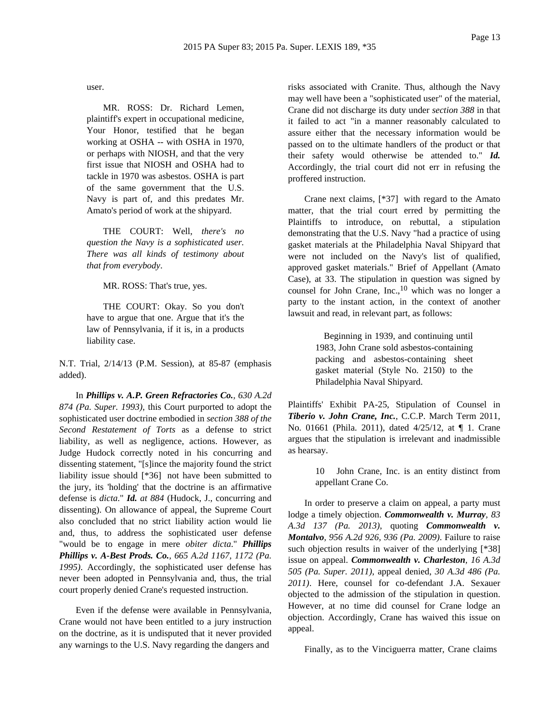user.

MR. ROSS: Dr. Richard Lemen, plaintiff's expert in occupational medicine, Your Honor, testified that he began working at OSHA -- with OSHA in 1970, or perhaps with NIOSH, and that the very first issue that NIOSH and OSHA had to tackle in 1970 was asbestos. OSHA is part of the same government that the U.S. Navy is part of, and this predates Mr. Amato's period of work at the shipyard.

THE COURT: Well, *there's no question the Navy is a sophisticated user. There was all kinds of testimony about that from everybody*.

MR. ROSS: That's true, yes.

THE COURT: Okay. So you don't have to argue that one. Argue that it's the law of Pennsylvania, if it is, in a products liability case.

N.T. Trial, 2/14/13 (P.M. Session), at 85-87 (emphasis added).

In *Phillips v. A.P. Green Refractories Co., 630 A.2d 874 (Pa. Super. 1993)*, this Court purported to adopt the sophisticated user doctrine embodied in *section 388 of the Second Restatement of Torts* as a defense to strict liability, as well as negligence, actions. However, as Judge Hudock correctly noted in his concurring and dissenting statement, "[s]ince the majority found the strict liability issue should [\*36] not have been submitted to the jury, its 'holding' that the doctrine is an affirmative defense is *dicta*." *Id. at 884* (Hudock, J., concurring and dissenting). On allowance of appeal, the Supreme Court also concluded that no strict liability action would lie and, thus, to address the sophisticated user defense "would be to engage in mere *obiter dicta*." *Phillips Phillips v. A-Best Prods. Co., 665 A.2d 1167, 1172 (Pa. 1995)*. Accordingly, the sophisticated user defense has never been adopted in Pennsylvania and, thus, the trial court properly denied Crane's requested instruction.

Even if the defense were available in Pennsylvania, Crane would not have been entitled to a jury instruction on the doctrine, as it is undisputed that it never provided any warnings to the U.S. Navy regarding the dangers and

risks associated with Cranite. Thus, although the Navy may well have been a "sophisticated user" of the material, Crane did not discharge its duty under *section 388* in that it failed to act "in a manner reasonably calculated to assure either that the necessary information would be passed on to the ultimate handlers of the product or that their safety would otherwise be attended to." *Id.* Accordingly, the trial court did not err in refusing the proffered instruction.

Crane next claims, [\*37] with regard to the Amato matter, that the trial court erred by permitting the Plaintiffs to introduce, on rebuttal, a stipulation demonstrating that the U.S. Navy "had a practice of using gasket materials at the Philadelphia Naval Shipyard that were not included on the Navy's list of qualified, approved gasket materials." Brief of Appellant (Amato Case), at 33. The stipulation in question was signed by counsel for John Crane, Inc.,<sup>10</sup> which was no longer a party to the instant action, in the context of another lawsuit and read, in relevant part, as follows:

> Beginning in 1939, and continuing until 1983, John Crane sold asbestos-containing packing and asbestos-containing sheet gasket material (Style No. 2150) to the Philadelphia Naval Shipyard.

Plaintiffs' Exhibit PA-25, Stipulation of Counsel in *Tiberio v. John Crane, Inc.*, C.C.P. March Term 2011, No. 01661 (Phila. 2011), dated 4/25/12, at ¶ 1. Crane argues that the stipulation is irrelevant and inadmissible as hearsay.

> 10 John Crane, Inc. is an entity distinct from appellant Crane Co.

In order to preserve a claim on appeal, a party must lodge a timely objection. *Commonwealth v. Murray, 83 A.3d 137 (Pa. 2013)*, quoting *Commonwealth v. Montalvo, 956 A.2d 926, 936 (Pa. 2009)*. Failure to raise such objection results in waiver of the underlying [\*38] issue on appeal. *Commonwealth v. Charleston, 16 A.3d 505 (Pa. Super. 2011)*, appeal denied, *30 A.3d 486 (Pa. 2011)*. Here, counsel for co-defendant J.A. Sexauer objected to the admission of the stipulation in question. However, at no time did counsel for Crane lodge an objection. Accordingly, Crane has waived this issue on appeal.

Finally, as to the Vinciguerra matter, Crane claims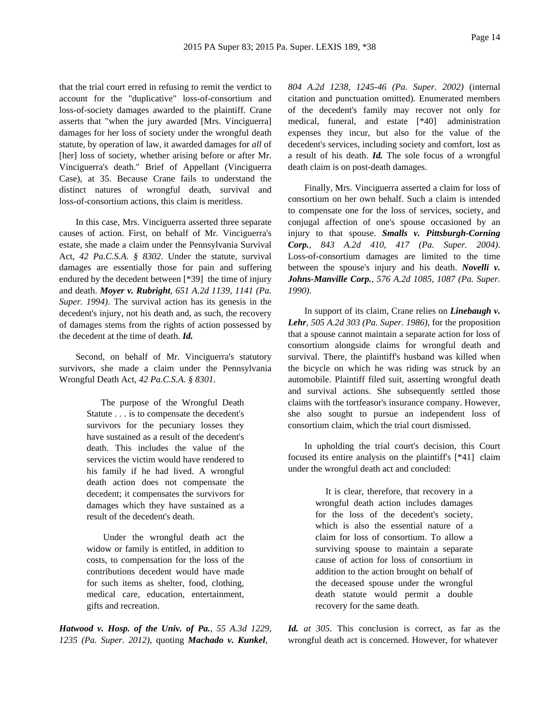that the trial court erred in refusing to remit the verdict to account for the "duplicative" loss-of-consortium and loss-of-society damages awarded to the plaintiff. Crane asserts that "when the jury awarded [Mrs. Vinciguerra] damages for her loss of society under the wrongful death statute, by operation of law, it awarded damages for *all* of [her] loss of society, whether arising before or after Mr. Vinciguerra's death." Brief of Appellant (Vinciguerra Case), at 35. Because Crane fails to understand the distinct natures of wrongful death, survival and loss-of-consortium actions, this claim is meritless.

In this case, Mrs. Vinciguerra asserted three separate causes of action. First, on behalf of Mr. Vinciguerra's estate, she made a claim under the Pennsylvania Survival Act, *42 Pa.C.S.A. § 8302*. Under the statute, survival damages are essentially those for pain and suffering endured by the decedent between [\*39] the time of injury and death. *Moyer v. Rubright, 651 A.2d 1139, 1141 (Pa. Super. 1994)*. The survival action has its genesis in the decedent's injury, not his death and, as such, the recovery of damages stems from the rights of action possessed by the decedent at the time of death. *Id.*

Second, on behalf of Mr. Vinciguerra's statutory survivors, she made a claim under the Pennsylvania Wrongful Death Act, *42 Pa.C.S.A. § 8301*.

> The purpose of the Wrongful Death Statute . . . is to compensate the decedent's survivors for the pecuniary losses they have sustained as a result of the decedent's death. This includes the value of the services the victim would have rendered to his family if he had lived. A wrongful death action does not compensate the decedent; it compensates the survivors for damages which they have sustained as a result of the decedent's death.

> Under the wrongful death act the widow or family is entitled, in addition to costs, to compensation for the loss of the contributions decedent would have made for such items as shelter, food, clothing, medical care, education, entertainment, gifts and recreation.

*Hatwood v. Hosp. of the Univ. of Pa., 55 A.3d 1229, 1235 (Pa. Super. 2012)*, quoting *Machado v. Kunkel,*

*804 A.2d 1238, 1245-46 (Pa. Super. 2002)* (internal citation and punctuation omitted). Enumerated members of the decedent's family may recover not only for medical, funeral, and estate [\*40] administration expenses they incur, but also for the value of the decedent's services, including society and comfort, lost as a result of his death. *Id.* The sole focus of a wrongful death claim is on post-death damages.

Finally, Mrs. Vinciguerra asserted a claim for loss of consortium on her own behalf. Such a claim is intended to compensate one for the loss of services, society, and conjugal affection of one's spouse occasioned by an injury to that spouse. *Smalls v. Pittsburgh-Corning Corp., 843 A.2d 410, 417 (Pa. Super. 2004)*. Loss-of-consortium damages are limited to the time between the spouse's injury and his death. *Novelli v. Johns-Manville Corp., 576 A.2d 1085, 1087 (Pa. Super. 1990)*.

In support of its claim, Crane relies on *Linebaugh v. Lehr, 505 A.2d 303 (Pa. Super. 1986)*, for the proposition that a spouse cannot maintain a separate action for loss of consortium alongside claims for wrongful death and survival. There, the plaintiff's husband was killed when the bicycle on which he was riding was struck by an automobile. Plaintiff filed suit, asserting wrongful death and survival actions. She subsequently settled those claims with the tortfeasor's insurance company. However, she also sought to pursue an independent loss of consortium claim, which the trial court dismissed.

In upholding the trial court's decision, this Court focused its entire analysis on the plaintiff's [\*41] claim under the wrongful death act and concluded:

> It is clear, therefore, that recovery in a wrongful death action includes damages for the loss of the decedent's society, which is also the essential nature of a claim for loss of consortium. To allow a surviving spouse to maintain a separate cause of action for loss of consortium in addition to the action brought on behalf of the deceased spouse under the wrongful death statute would permit a double recovery for the same death.

*Id. at 305*. This conclusion is correct, as far as the wrongful death act is concerned. However, for whatever